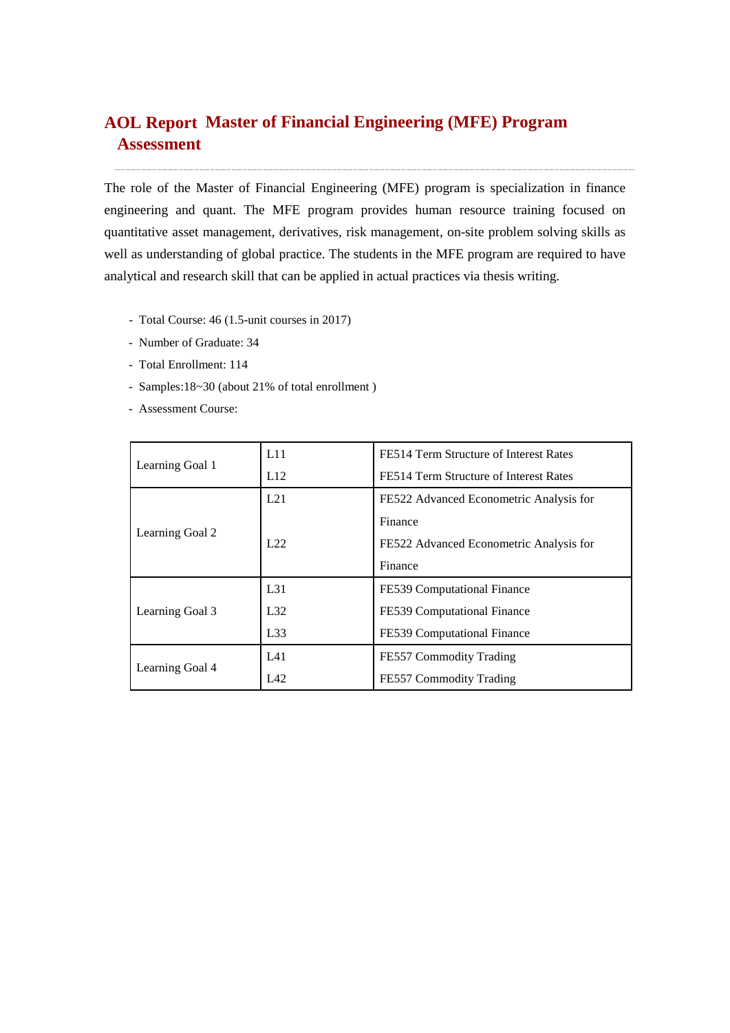# **Master of Financial Engineering (MFE) Program AOL ReportAssessment**

The role of the Master of Financial Engineering (MFE) program is specialization in finance engineering and quant. The MFE program provides human resource training focused on quantitative asset management, derivatives, risk management, on-site problem solving skills as well as understanding of global practice. The students in the MFE program are required to have analytical and research skill that can be applied in actual practices via thesis writing.

- Total Course: 46 (1.5-unit courses in 2017)
- Number of Graduate: 34
- Total Enrollment: 114
- Samples:18~30 (about 21% of total enrollment )
- Assessment Course:

|                 | L11   | FE514 Term Structure of Interest Rates  |  |  |
|-----------------|-------|-----------------------------------------|--|--|
| Learning Goal 1 | L12   | FE514 Term Structure of Interest Rates  |  |  |
|                 | L21   | FE522 Advanced Econometric Analysis for |  |  |
|                 |       | Finance                                 |  |  |
| Learning Goal 2 | 1.22. | FE522 Advanced Econometric Analysis for |  |  |
|                 |       | Finance                                 |  |  |
|                 | L31   | FE539 Computational Finance             |  |  |
| Learning Goal 3 | L32   | FE539 Computational Finance             |  |  |
|                 | L33   | FE539 Computational Finance             |  |  |
|                 | L41   | FE557 Commodity Trading                 |  |  |
| Learning Goal 4 | LA2   | FE557 Commodity Trading                 |  |  |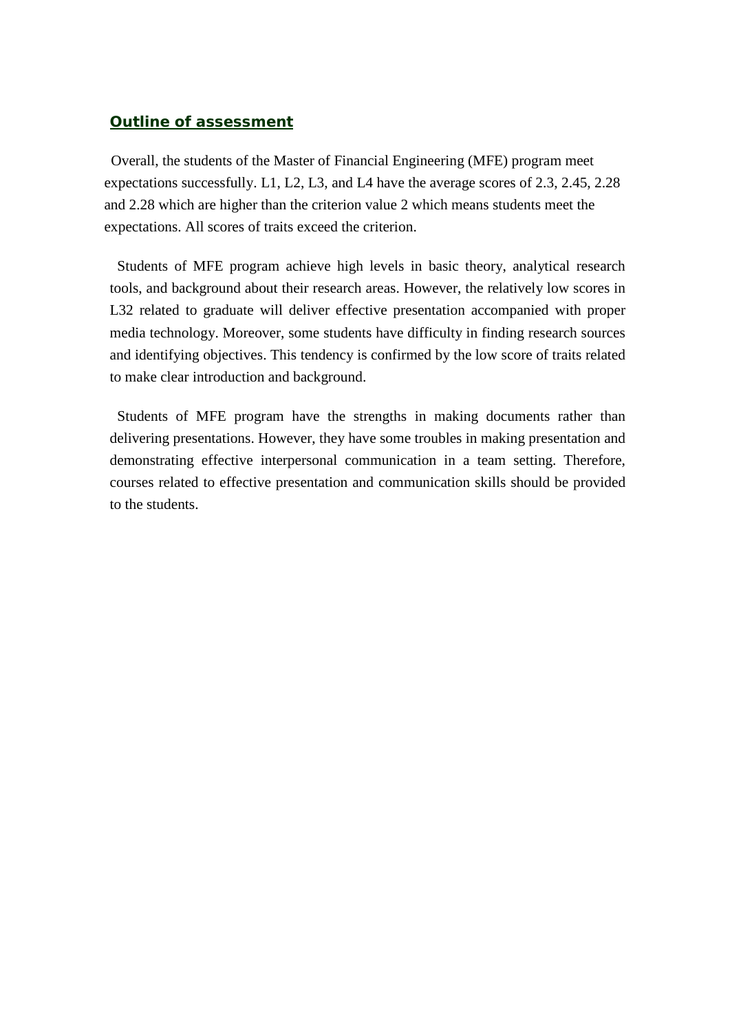# *Outline of assessment*

Overall, the students of the Master of Financial Engineering (MFE) program meet expectations successfully. L1, L2, L3, and L4 have the average scores of 2.3, 2.45, 2.28 and 2.28 which are higher than the criterion value 2 which means students meet the expectations. All scores of traits exceed the criterion.

Students of MFE program achieve high levels in basic theory, analytical research tools, and background about their research areas. However, the relatively low scores in L32 related to graduate will deliver effective presentation accompanied with proper media technology. Moreover, some students have difficulty in finding research sources and identifying objectives. This tendency is confirmed by the low score of traits related to make clear introduction and background.

Students of MFE program have the strengths in making documents rather than delivering presentations. However, they have some troubles in making presentation and demonstrating effective interpersonal communication in a team setting. Therefore, courses related to effective presentation and communication skills should be provided to the students.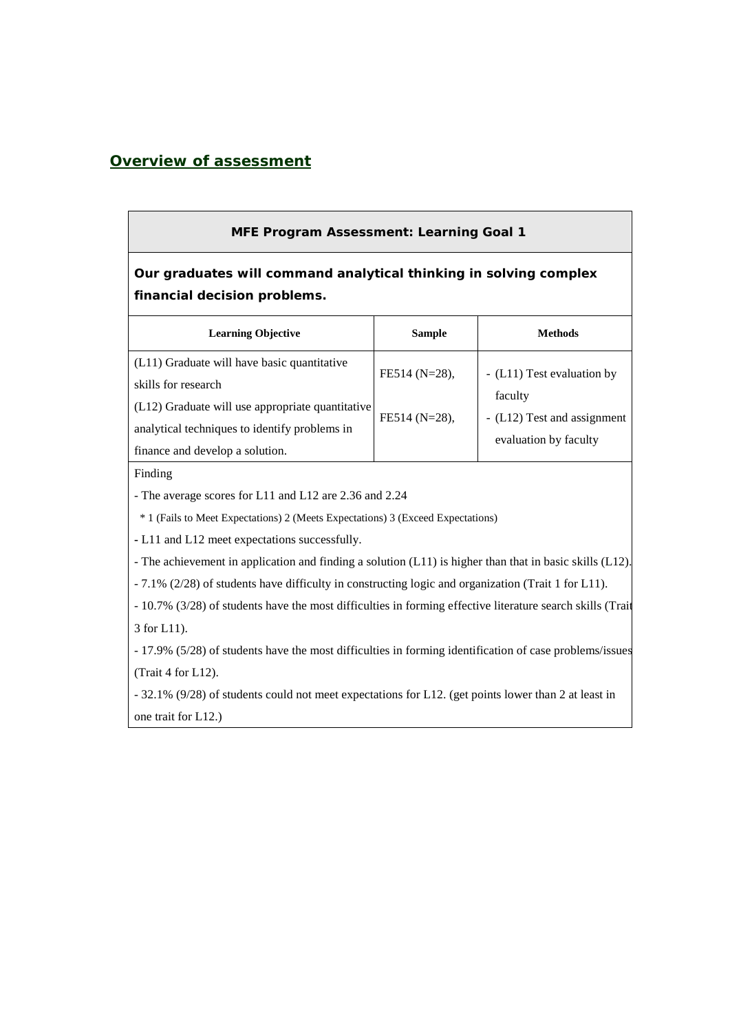# *Overview of assessment*

### **MFE Program Assessment: Learning Goal 1**

**Our graduates will command analytical thinking in solving complex financial decision problems.**

| <b>Learning Objective</b>                                                                                                                                                                                    | <b>Sample</b>                     | <b>Methods</b>                                                                                |
|--------------------------------------------------------------------------------------------------------------------------------------------------------------------------------------------------------------|-----------------------------------|-----------------------------------------------------------------------------------------------|
| (L11) Graduate will have basic quantitative<br>skills for research<br>$(L12)$ Graduate will use appropriate quantitative<br>analytical techniques to identify problems in<br>finance and develop a solution. | FE514 (N=28),<br>$FE514 (N=28)$ , | - (L11) Test evaluation by<br>faculty<br>- (L12) Test and assignment<br>evaluation by faculty |

Finding

- The average scores for L11 and L12 are 2.36 and 2.24

\* 1 (Fails to Meet Expectations) 2 (Meets Expectations) 3 (Exceed Expectations)

**-** L11 and L12 meet expectations successfully.

- The achievement in application and finding a solution (L11) is higher than that in basic skills (L12).

- 7.1% (2/28) of students have difficulty in constructing logic and organization (Trait 1 for L11).

- 10.7% (3/28) of students have the most difficulties in forming effective literature search skills (Trait 3 for L11).

- 17.9% (5/28) of students have the most difficulties in forming identification of case problems/issues (Trait 4 for L12).

- 32.1% (9/28) of students could not meet expectations for L12. (get points lower than 2 at least in one trait for L12.)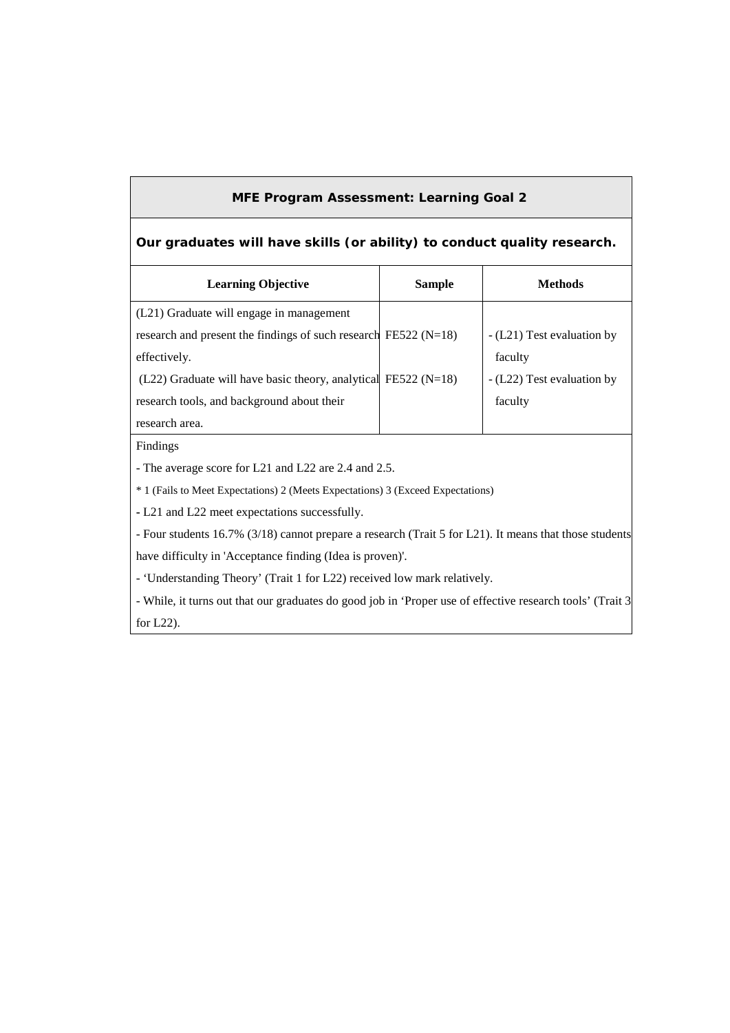# **MFE Program Assessment: Learning Goal 2**

### **Our graduates will have skills (or ability) to conduct quality research.**

| <b>Learning Objective</b>                                           | <b>Sample</b> | <b>Methods</b>             |
|---------------------------------------------------------------------|---------------|----------------------------|
| (L21) Graduate will engage in management                            |               |                            |
| research and present the findings of such research FE522 ( $N=18$ ) |               | - (L21) Test evaluation by |
| effectively.                                                        |               | faculty                    |
| $(L22)$ Graduate will have basic theory, analytical FE522 (N=18)    |               | - (L22) Test evaluation by |
| research tools, and background about their                          |               | faculty                    |
| research area.                                                      |               |                            |
| Findings                                                            |               |                            |

- The average score for L21 and L22 are 2.4 and 2.5.

\* 1 (Fails to Meet Expectations) 2 (Meets Expectations) 3 (Exceed Expectations)

**-** L21 and L22 meet expectations successfully.

- Four students 16.7% (3/18) cannot prepare a research (Trait 5 for L21). It means that those students have difficulty in 'Acceptance finding (Idea is proven)'.

- 'Understanding Theory' (Trait 1 for L22) received low mark relatively.

- While, it turns out that our graduates do good job in 'Proper use of effective research tools' (Trait 3 for L22).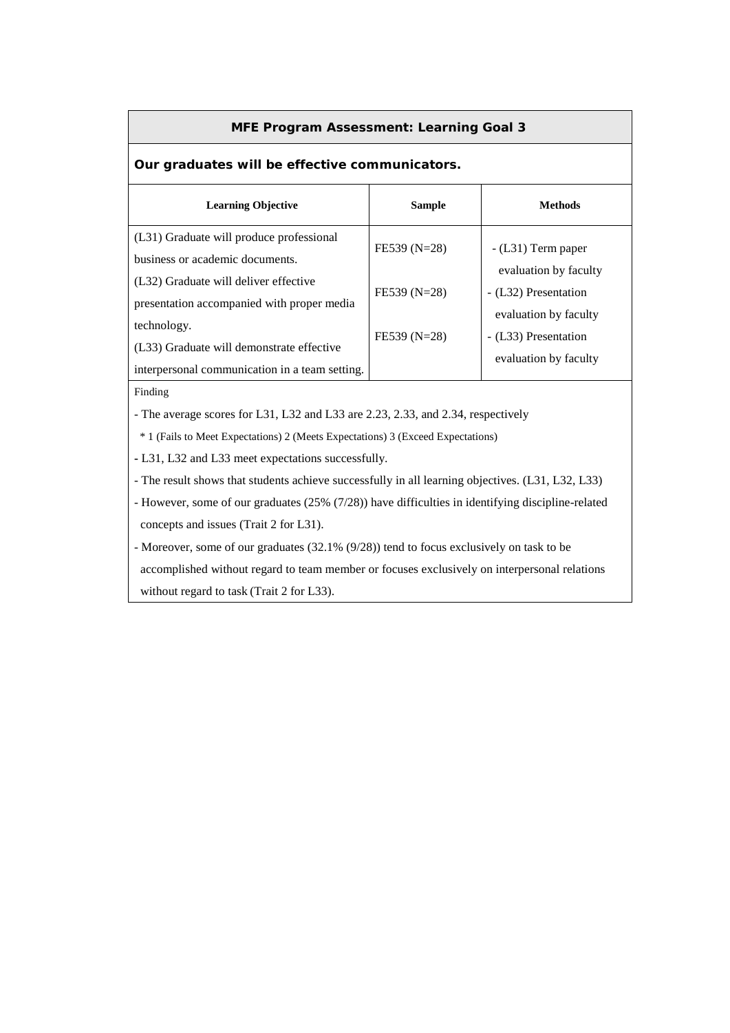#### **MFE Program Assessment: Learning Goal 3**

## **Our graduates will be effective communicators.**

| <b>Learning Objective</b>                                                           | <b>Sample</b> | <b>Methods</b>                                |
|-------------------------------------------------------------------------------------|---------------|-----------------------------------------------|
| (L31) Graduate will produce professional<br>business or academic documents.         | FE539 (N=28)  | $-L31$ ) Term paper                           |
| (L32) Graduate will deliver effective<br>presentation accompanied with proper media | FE539 (N=28)  | evaluation by faculty<br>- (L32) Presentation |
| technology.<br>(L33) Graduate will demonstrate effective                            | FE539 (N=28)  | evaluation by faculty<br>- (L33) Presentation |
| interpersonal communication in a team setting.                                      |               | evaluation by faculty                         |

Finding

- The average scores for L31, L32 and L33 are 2.23, 2.33, and 2.34, respectively

\* 1 (Fails to Meet Expectations) 2 (Meets Expectations) 3 (Exceed Expectations)

**-** L31, L32 and L33 meet expectations successfully.

- The result shows that students achieve successfully in all learning objectives. (L31, L32, L33)

- However, some of our graduates (25% (7/28)) have difficulties in identifying discipline-related concepts and issues (Trait 2 for L31).

- Moreover, some of our graduates (32.1% (9/28)) tend to focus exclusively on task to be accomplished without regard to team member or focuses exclusively on interpersonal relations without regard to task (Trait 2 for L33).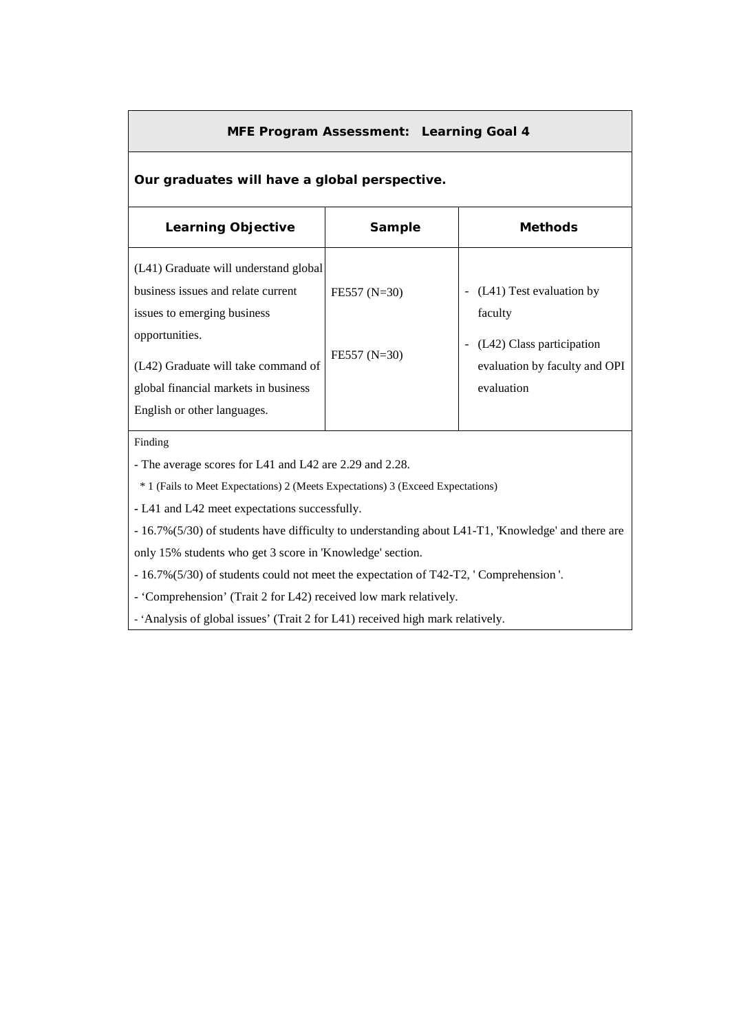### **MFE Program Assessment: Learning Goal 4**

# **Our graduates will have a global perspective.**

| <b>Learning Objective</b>                                                                                                                                                                                                                  | Sample                           | <b>Methods</b>                                                                                                  |
|--------------------------------------------------------------------------------------------------------------------------------------------------------------------------------------------------------------------------------------------|----------------------------------|-----------------------------------------------------------------------------------------------------------------|
| (L41) Graduate will understand global<br>business issues and relate current<br>issues to emerging business<br>opportunities.<br>(L42) Graduate will take command of<br>global financial markets in business<br>English or other languages. | $FE557 (N=30)$<br>$FE557 (N=30)$ | (L41) Test evaluation by<br>faculty<br>(L42) Class participation<br>evaluation by faculty and OPI<br>evaluation |

#### Finding

- The average scores for L41 and L42 are 2.29 and 2.28.

\* 1 (Fails to Meet Expectations) 2 (Meets Expectations) 3 (Exceed Expectations)

**-** L41 and L42 meet expectations successfully.

- 16.7%(5/30) of students have difficulty to understanding about L41-T1, 'Knowledge' and there are

only 15% students who get 3 score in 'Knowledge' section.

- 16.7%(5/30) of students could not meet the expectation of T42-T2, ' Comprehension '.

- 'Comprehension' (Trait 2 for L42) received low mark relatively.

- 'Analysis of global issues' (Trait 2 for L41) received high mark relatively.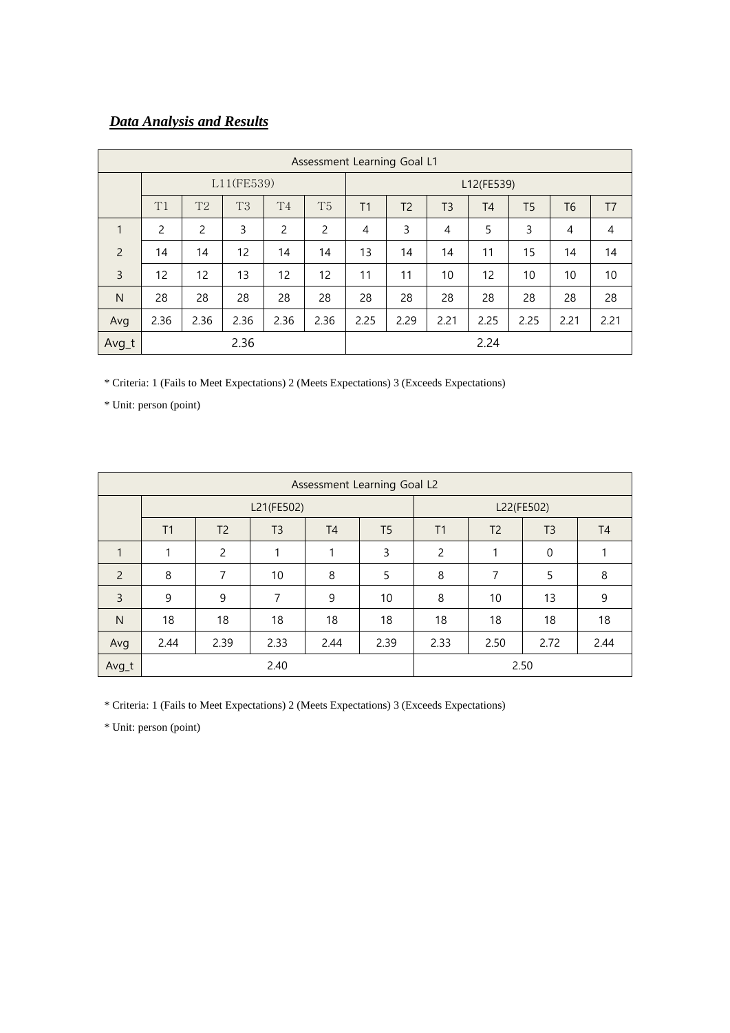# *Data Analysis and Results*

|                | Assessment Learning Goal L1 |                |      |                |                |                |                |                |                |                |      |                |
|----------------|-----------------------------|----------------|------|----------------|----------------|----------------|----------------|----------------|----------------|----------------|------|----------------|
|                | L11(FE539)                  |                |      |                |                |                | L12(FE539)     |                |                |                |      |                |
|                | T1                          | T <sub>2</sub> | T3   | T <sub>4</sub> | T <sub>5</sub> | T <sub>1</sub> | T <sub>2</sub> | T <sub>3</sub> | T <sub>4</sub> | T <sub>5</sub> | T6   | T <sub>7</sub> |
| 1              | 2                           | 2              | 3    | $\overline{c}$ | 2              | $\overline{4}$ | 3              | 4              | 5              | 3              | 4    | $\overline{4}$ |
| $\overline{2}$ | 14                          | 14             | 12   | 14             | 14             | 13             | 14             | 14             | 11             | 15             | 14   | 14             |
| 3              | 12                          | 12             | 13   | 12             | 12             | 11             | 11             | 10             | 12             | 10             | 10   | 10             |
| $\mathsf{N}$   | 28                          | 28             | 28   | 28             | 28             | 28             | 28             | 28             | 28             | 28             | 28   | 28             |
| Avg            | 2.36                        | 2.36           | 2.36 | 2.36           | 2.36           | 2.25           | 2.29           | 2.21           | 2.25           | 2.25           | 2.21 | 2.21           |
| Avg_t          | 2.36                        |                |      |                |                |                |                |                | 2.24           |                |      |                |

\* Criteria: 1 (Fails to Meet Expectations) 2 (Meets Expectations) 3 (Exceeds Expectations)

\* Unit: person (point)

| Assessment Learning Goal L2 |      |                |                |                |                |                |                |                |                |  |
|-----------------------------|------|----------------|----------------|----------------|----------------|----------------|----------------|----------------|----------------|--|
|                             |      |                | L21(FE502)     | L22(FE502)     |                |                |                |                |                |  |
|                             | T1   | T <sub>2</sub> | T <sub>3</sub> | T <sub>4</sub> | T <sub>5</sub> | T1             | T <sub>2</sub> | T <sub>3</sub> | T <sub>4</sub> |  |
| 1                           |      | 2              | 1              | 1              | 3              | $\overline{c}$ | 1              | $\mathbf 0$    |                |  |
| $\overline{2}$              | 8    | 7              | 10             | 8              | 5              | 8              | 7              | 5              | 8              |  |
| 3                           | 9    | 9              | 7              | 9              | 10             | 8              | 10             | 13             | 9              |  |
| $\mathsf{N}$                | 18   | 18             | 18             | 18             | 18             | 18             | 18             | 18             | 18             |  |
| Avg                         | 2.44 | 2.39           | 2.33           | 2.44           | 2.39           | 2.33           | 2.50           | 2.72           | 2.44           |  |
| Avg_t                       |      |                | 2.40           |                |                |                |                | 2.50           |                |  |

\* Criteria: 1 (Fails to Meet Expectations) 2 (Meets Expectations) 3 (Exceeds Expectations)

\* Unit: person (point)